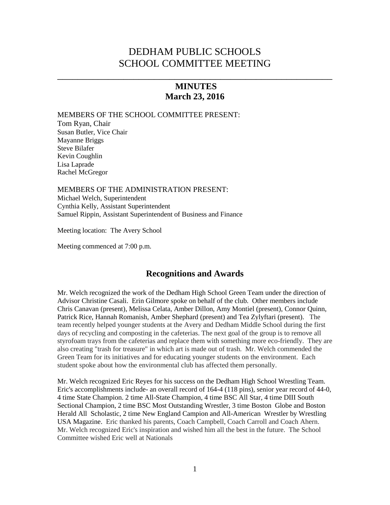# DEDHAM PUBLIC SCHOOLS SCHOOL COMMITTEE MEETING

# **MINUTES March 23, 2016**

\_\_\_\_\_\_\_\_\_\_\_\_\_\_\_\_\_\_\_\_\_\_\_\_\_\_\_\_\_\_\_\_\_\_\_\_\_\_\_\_\_\_\_\_\_\_\_\_\_\_\_\_\_\_

#### MEMBERS OF THE SCHOOL COMMITTEE PRESENT:

Tom Ryan, Chair Susan Butler, Vice Chair Mayanne Briggs Steve Bilafer Kevin Coughlin Lisa Laprade Rachel McGregor

MEMBERS OF THE ADMINISTRATION PRESENT: Michael Welch, Superintendent Cynthia Kelly, Assistant Superintendent

Samuel Rippin, Assistant Superintendent of Business and Finance

Meeting location: The Avery School

Meeting commenced at 7:00 p.m.

## **Recognitions and Awards**

Mr. Welch recognized the work of the Dedham High School Green Team under the direction of Advisor Christine Casali. Erin Gilmore spoke on behalf of the club. Other members include Chris Canavan (present), Melissa Celata, Amber Dillon, Amy Montiel (present), Connor Quinn, Patrick Rice, Hannah Romanish, Amber Shephard (present) and Tea Zylyftari (present). The team recently helped younger students at the Avery and Dedham Middle School during the first days of recycling and composting in the cafeterias. The next goal of the group is to remove all styrofoam trays from the cafeterias and replace them with something more eco-friendly. They are also creating "trash for treasure" in which art is made out of trash. Mr. Welch commended the Green Team for its initiatives and for educating younger students on the environment. Each student spoke about how the environmental club has affected them personally.

Mr. Welch recognized Eric Reyes for his success on the Dedham High School Wrestling Team. Eric's accomplishments include- an overall record of 164-4 (118 pins), senior year record of 44-0, 4 time State Champion. 2 time All-State Champion, 4 time BSC All Star, 4 time DIII South Sectional Champion, 2 time BSC Most Outstanding Wrestler, 3 time Boston Globe and Boston Herald All Scholastic, 2 time New England Campion and All-American Wrestler by Wrestling USA Magazine. Eric thanked his parents, Coach Campbell, Coach Carroll and Coach Ahern. Mr. Welch recognized Eric's inspiration and wished him all the best in the future. The School Committee wished Eric well at Nationals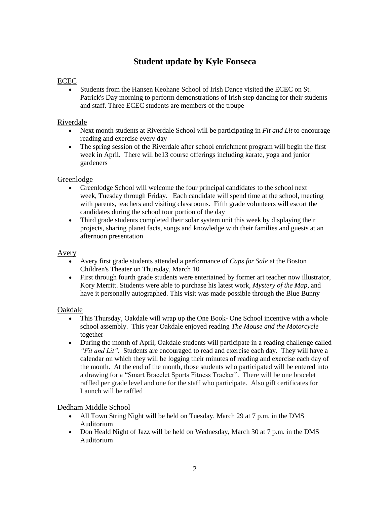# **Student update by Kyle Fonseca**

### ECEC

 Students from the Hansen Keohane School of Irish Dance visited the ECEC on St. Patrick's Day morning to perform demonstrations of Irish step dancing for their students and staff. Three ECEC students are members of the troupe

### Riverdale

- Next month students at Riverdale School will be participating in *Fit and Lit* to encourage reading and exercise every day
- The spring session of the Riverdale after school enrichment program will begin the first week in April. There will be13 course offerings including karate, yoga and junior gardeners

### Greenlodge

- Greenlodge School will welcome the four principal candidates to the school next week, Tuesday through Friday. Each candidate will spend time at the school, meeting with parents, teachers and visiting classrooms. Fifth grade volunteers will escort the candidates during the school tour portion of the day
- Third grade students completed their solar system unit this week by displaying their projects, sharing planet facts, songs and knowledge with their families and guests at an afternoon presentation

#### Avery

- Avery first grade students attended a performance of *Caps for Sale* at the Boston Children's Theater on Thursday, March 10
- First through fourth grade students were entertained by former art teacher now illustrator, Kory Merritt. Students were able to purchase his latest work, *Mystery of the Map*, and have it personally autographed. This visit was made possible through the Blue Bunny

### Oakdale

- This Thursday, Oakdale will wrap up the One Book- One School incentive with a whole school assembly. This year Oakdale enjoyed reading *The Mouse and the Motorcycle*  together
- During the month of April, Oakdale students will participate in a reading challenge called *"Fit and Lit".* Students are encouraged to read and exercise each day. They will have a calendar on which they will be logging their minutes of reading and exercise each day of the month. At the end of the month, those students who participated will be entered into a drawing for a "Smart Bracelet Sports Fitness Tracker". There will be one bracelet raffled per grade level and one for the staff who participate. Also gift certificates for Launch will be raffled

### Dedham Middle School

- All Town String Night will be held on Tuesday, March 29 at 7 p.m. in the DMS Auditorium
- Don Heald Night of Jazz will be held on Wednesday, March 30 at 7 p.m. in the DMS Auditorium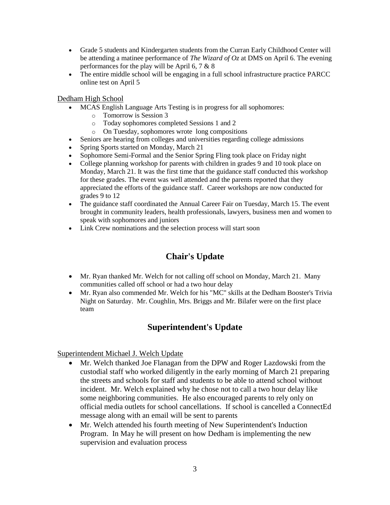- Grade 5 students and Kindergarten students from the Curran Early Childhood Center will be attending a matinee performance of *The Wizard of Oz* at DMS on April 6. The evening performances for the play will be April 6, 7 & 8
- The entire middle school will be engaging in a full school infrastructure practice PARCC online test on April 5

#### Dedham High School

- MCAS English Language Arts Testing is in progress for all sophomores:
	- o Tomorrow is Session 3
	- o Today sophomores completed Sessions 1 and 2
	- o On Tuesday, sophomores wrote long compositions
- Seniors are hearing from colleges and universities regarding college admissions
- Spring Sports started on Monday, March 21
- Sophomore Semi-Formal and the Senior Spring Fling took place on Friday night
- College planning workshop for parents with children in grades 9 and 10 took place on Monday, March 21. It was the first time that the guidance staff conducted this workshop for these grades. The event was well attended and the parents reported that they appreciated the efforts of the guidance staff. Career workshops are now conducted for grades 9 to 12
- The guidance staff coordinated the Annual Career Fair on Tuesday, March 15. The event brought in community leaders, health professionals, lawyers, business men and women to speak with sophomores and juniors
- Link Crew nominations and the selection process will start soon

# **Chair's Update**

- Mr. Ryan thanked Mr. Welch for not calling off school on Monday, March 21. Many communities called off school or had a two hour delay
- Mr. Ryan also commended Mr. Welch for his "MC" skills at the Dedham Booster's Trivia Night on Saturday. Mr. Coughlin, Mrs. Briggs and Mr. Bilafer were on the first place team

# **Superintendent's Update**

### Superintendent Michael J. Welch Update

- Mr. Welch thanked Joe Flanagan from the DPW and Roger Lazdowski from the custodial staff who worked diligently in the early morning of March 21 preparing the streets and schools for staff and students to be able to attend school without incident. Mr. Welch explained why he chose not to call a two hour delay like some neighboring communities. He also encouraged parents to rely only on official media outlets for school cancellations. If school is cancelled a ConnectEd message along with an email will be sent to parents
- Mr. Welch attended his fourth meeting of New Superintendent's Induction Program. In May he will present on how Dedham is implementing the new supervision and evaluation process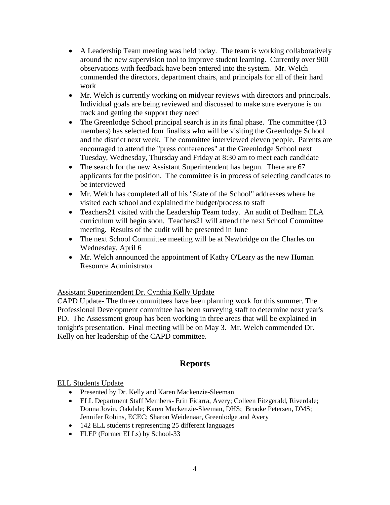- A Leadership Team meeting was held today. The team is working collaboratively around the new supervision tool to improve student learning. Currently over 900 observations with feedback have been entered into the system. Mr. Welch commended the directors, department chairs, and principals for all of their hard work
- Mr. Welch is currently working on midyear reviews with directors and principals. Individual goals are being reviewed and discussed to make sure everyone is on track and getting the support they need
- The Greenlodge School principal search is in its final phase. The committee (13) members) has selected four finalists who will be visiting the Greenlodge School and the district next week. The committee interviewed eleven people. Parents are encouraged to attend the "press conferences" at the Greenlodge School next Tuesday, Wednesday, Thursday and Friday at 8:30 am to meet each candidate
- The search for the new Assistant Superintendent has begun. There are 67 applicants for the position. The committee is in process of selecting candidates to be interviewed
- Mr. Welch has completed all of his "State of the School" addresses where he visited each school and explained the budget/process to staff
- Teachers21 visited with the Leadership Team today. An audit of Dedham ELA curriculum will begin soon. Teachers21 will attend the next School Committee meeting. Results of the audit will be presented in June
- The next School Committee meeting will be at Newbridge on the Charles on Wednesday, April 6
- Mr. Welch announced the appointment of Kathy O'Leary as the new Human Resource Administrator

## Assistant Superintendent Dr. Cynthia Kelly Update

CAPD Update- The three committees have been planning work for this summer. The Professional Development committee has been surveying staff to determine next year's PD. The Assessment group has been working in three areas that will be explained in tonight's presentation. Final meeting will be on May 3. Mr. Welch commended Dr. Kelly on her leadership of the CAPD committee.

# **Reports**

### ELL Students Update

- Presented by Dr. Kelly and Karen Mackenzie-Sleeman
- ELL Department Staff Members- Erin Ficarra, Avery; Colleen Fitzgerald, Riverdale; Donna Jovin, Oakdale; Karen Mackenzie-Sleeman, DHS; Brooke Petersen, DMS; Jennifer Robins, ECEC; Sharon Weidenaar, Greenlodge and Avery
- 142 ELL students t representing 25 different languages
- FLEP (Former ELLs) by School-33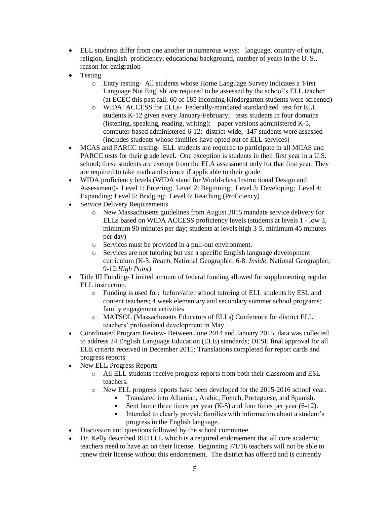- ELL students differ from one another in numerous ways: language, country of origin, religion, English proficiency, educational background, number of years in the U. S., reason for emigration
- Testing
	- o Entry testing- All students whose Home Language Survey indicates a 'First Language Not English' are required to be assessed by the school's ELL teacher (at ECEC this past fall, 60 of 185 incoming Kindergarten students were screened)
	- o WIDA: ACCESS for ELLs- Federally-mandated standardized test for ELL students K-12 given every January-February; tests students in four domains (listening, speaking, reading, writing); paper versions administered K-5, computer-based administered 6-12; district-wide, 147 students were assessed (includes students whose families have opted out of ELL services)
- MCAS and PARCC testing- ELL students are required to participate in all MCAS and PARCC tests for their grade level. One exception is students in their first year in a U.S. school; these students are exempt from the ELA assessment only for that first year. They are required to take math and science if applicable to their grade
- WIDA proficiency levels (WIDA stand for World-class Instructional Design and Assessment)- Level 1: Entering; Level 2: Beginning; Level 3: Developing; Level 4: Expanding; Level 5: Bridging; Level 6: Reaching (Proficiency)
- Service Delivery Requirements
	- o New Massachusetts guidelines from August 2015 mandate service delivery for ELLs based on WIDA ACCESS proficiency levels (students at levels 1 - low 3, minimum 90 minutes per day; students at levels high 3-5, minimum 45 minutes per day)
	- o Services must be provided in a pull-out environment.
	- o Services are not tutoring but use a specific English language development curriculum (K-5: *Reach*, National Geographic; 6-8: *Inside*, National Geographic; 9-12:*High Point)*
- Title III Funding- Limited amount of federal funding allowed for supplementing regular ELL instruction.
	- o Funding is used for: before/after school tutoring of ELL students by ESL and content teachers; 4 week elementary and secondary summer school programs; family engagement activities
	- o MATSOL (Massachusetts Educators of ELLs) Conference for district ELL teachers' professional development in May
- Coordinated Program Review- Between June 2014 and January 2015, data was collected to address 24 English Language Education (ELE) standards; DESE final approval for all ELE criteria received in December 2015; Translations completed for report cards and progress reports
- New ELL Progress Reports
	- o All ELL students receive progress reports from both their classroom and ESL teachers.
	- o New ELL progress reports have been developed for the 2015-2016 school year.
		- Translated into Albanian, Arabic, French, Portuguese, and Spanish.
		- Sent home three times per year (K-5) and four times per year (6-12).
		- Intended to clearly provide families with information about a student's progress in the English language.
- Discussion and questions followed by the school committee
- Dr. Kelly described RETELL which is a required endorsement that all core academic teachers need to have an on their license. Beginning 7/1/16 teachers will not be able to renew their license without this endorsement. The district has offered and is currently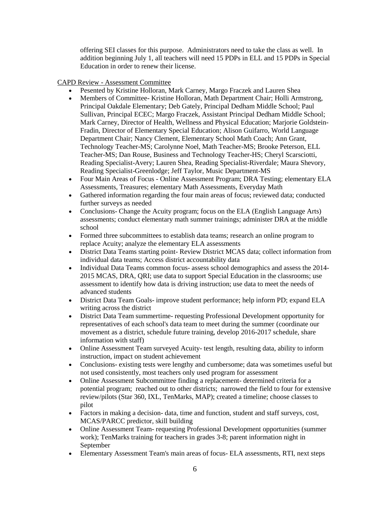offering SEI classes for this purpose. Administrators need to take the class as well. In addition beginning July 1, all teachers will need 15 PDPs in ELL and 15 PDPs in Special Education in order to renew their license.

#### CAPD Review - Assessment Committee

- Pesented by Kristine Holloran, Mark Carney, Margo Fraczek and Lauren Shea
- Members of Committee- Kristine Holloran, Math Department Chair; Holli Armstrong, Principal Oakdale Elementary; Deb Gately, Principal Dedham Middle School; Paul Sullivan, Principal ECEC; Margo Fraczek, Assistant Principal Dedham Middle School; Mark Carney, Director of Health, Wellness and Physical Education; Marjorie Goldstein-Fradin, Director of Elementary Special Education; Alison Guifarro, World Language Department Chair; Nancy Clement, Elementary School Math Coach; Ann Grant, Technology Teacher-MS; Carolynne Noel, Math Teacher-MS; Brooke Peterson, ELL Teacher-MS; Dan Rouse, Business and Technology Teacher-HS; Cheryl Scarsciotti, Reading Specialist-Avery; Lauren Shea, Reading Specialist-Riverdale; Maura Shevory, Reading Specialist-Greenlodge; Jeff Taylor, Music Department-MS
- Four Main Areas of Focus Online Assessment Program; DRA Testing; elementary ELA Assessments, Treasures; elementary Math Assessments, Everyday Math
- Gathered information regarding the four main areas of focus; reviewed data; conducted further surveys as needed
- Conclusions- Change the Acuity program; focus on the ELA (English Language Arts) assessments; conduct elementary math summer trainings; administer DRA at the middle school
- Formed three subcommittees to establish data teams; research an online program to replace Acuity; analyze the elementary ELA assessments
- District Data Teams starting point- Review District MCAS data; collect information from individual data teams; Access district accountability data
- Individual Data Teams common focus- assess school demographics and assess the 2014-2015 MCAS, DRA, QRI; use data to support Special Education in the classrooms; use assessment to identify how data is driving instruction; use data to meet the needs of advanced students
- District Data Team Goals- improve student performance; help inform PD; expand ELA writing across the district
- District Data Team summertime- requesting Professional Development opportunity for representatives of each school's data team to meet during the summer (coordinate our movement as a district, schedule future training, develop 2016-2017 schedule, share information with staff)
- Online Assessment Team surveyed Acuity- test length, resulting data, ability to inform instruction, impact on student achievement
- Conclusions- existing tests were lengthy and cumbersome; data was sometimes useful but not used consistently, most teachers only used program for assessment
- Online Assessment Subcommittee finding a replacement- determined criteria for a potential program; reached out to other districts; narrowed the field to four for extensive review/pilots (Star 360, IXL, TenMarks, MAP); created a timeline; choose classes to pilot
- Factors in making a decision- data, time and function, student and staff surveys, cost, MCAS/PARCC predictor, skill building
- Online Assessment Team- requesting Professional Development opportunities (summer work); TenMarks training for teachers in grades 3-8; parent information night in September
- Elementary Assessment Team's main areas of focus- ELA assessments, RTI, next steps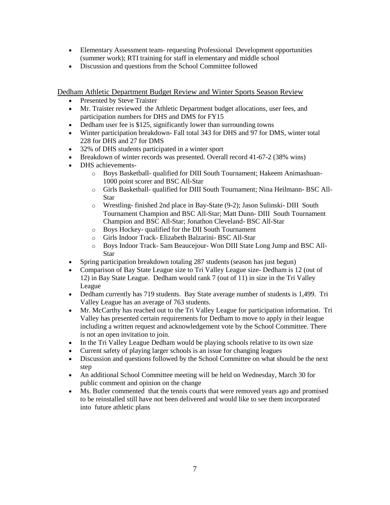- Elementary Assessment team- requesting Professional Development opportunities (summer work); RTI training for staff in elementary and middle school
- Discussion and questions from the School Committee followed

Dedham Athletic Department Budget Review and Winter Sports Season Review

- Presented by Steve Traister
- Mr. Traister reviewed the Athletic Department budget allocations, user fees, and participation numbers for DHS and DMS for FY15
- Dedham user fee is \$125, significantly lower than surrounding towns
- Winter participation breakdown- Fall total 343 for DHS and 97 for DMS, winter total 228 for DHS and 27 for DMS
- 32% of DHS students participated in a winter sport
- Breakdown of winter records was presented. Overall record 41-67-2 (38% wins)
- DHS achievements
	- o Boys Basketball- qualified for DIII South Tournament; Hakeem Animashuan-1000 point scorer and BSC All-Star
	- o Girls Basketball- qualified for DIII South Tournament; Nina Heilmann- BSC All-Star
	- o Wrestling- finished 2nd place in Bay-State (9-2); Jason Sulinski- DIII South Tournament Champion and BSC All-Star; Matt Dunn- DIII South Tournament Champion and BSC All-Star; Jonathon Cleveland- BSC All-Star
	- o Boys Hockey- qualified for the DII South Tournament
	- o Girls Indoor Track- Elizabeth Balzarini- BSC All-Star
	- o Boys Indoor Track- Sam Beaucejour- Won DIII State Long Jump and BSC All-Star
- Spring participation breakdown totaling 287 students (season has just begun)
- Comparison of Bay State League size to Tri Valley League size- Dedham is 12 (out of 12) in Bay State League. Dedham would rank 7 (out of 11) in size in the Tri Valley League
- Dedham currently has 719 students. Bay State average number of students is 1,499. Tri Valley League has an average of 763 students.
- Mr. McCarthy has reached out to the Tri Valley League for participation information. Tri Valley has presented certain requirements for Dedham to move to apply in their league including a written request and acknowledgement vote by the School Committee. There is not an open invitation to join.
- In the Tri Valley League Dedham would be playing schools relative to its own size
- Current safety of playing larger schools is an issue for changing leagues
- Discussion and questions followed by the School Committee on what should be the next step
- An additional School Committee meeting will be held on Wednesday, March 30 for public comment and opinion on the change
- Ms. Butler commented that the tennis courts that were removed years ago and promised to be reinstalled still have not been delivered and would like to see them incorporated into future athletic plans